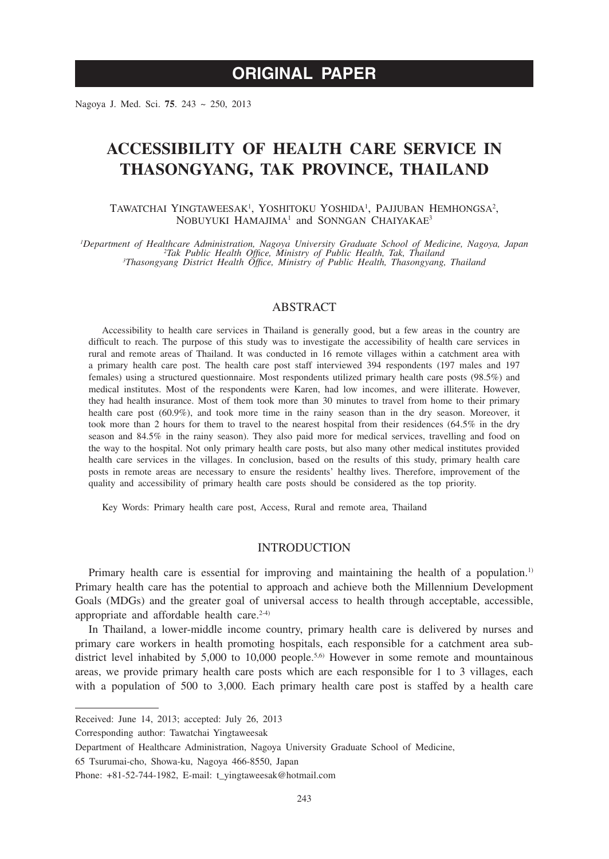# **ORIGINAL PAPER**

Nagoya J. Med. Sci. **75**. 243 ~ 250, 2013

## **ACCESSIBILITY OF HEALTH CARE SERVICE IN THASONGYANG, TAK PROVINCE, THAILAND**

TAWATCHAI YINGTAWEESAK<sup>1</sup>, YOSHITOKU YOSHIDA<sup>1</sup>, PAJJUBAN HEMHONGSA<sup>2</sup>, NOBUYUKI HAMAJIMA<sup>1</sup> and SONNGAN CHAIYAKAE<sup>3</sup>

*1 Department of Healthcare Administration, Nagoya University Graduate School of Medicine, Nagoya, Japan <sup>2</sup> Tak Public Health Office, Ministry of Public Health, Tak, Thailand <sup>3</sup> Thasongyang District Health Office, Ministry of Public Health, Thasongyang, Thailand*

### ABSTRACT

Accessibility to health care services in Thailand is generally good, but a few areas in the country are difficult to reach. The purpose of this study was to investigate the accessibility of health care services in rural and remote areas of Thailand. It was conducted in 16 remote villages within a catchment area with a primary health care post. The health care post staff interviewed 394 respondents (197 males and 197 females) using a structured questionnaire. Most respondents utilized primary health care posts (98.5%) and medical institutes. Most of the respondents were Karen, had low incomes, and were illiterate. However, they had health insurance. Most of them took more than 30 minutes to travel from home to their primary health care post (60.9%), and took more time in the rainy season than in the dry season. Moreover, it took more than 2 hours for them to travel to the nearest hospital from their residences (64.5% in the dry season and 84.5% in the rainy season). They also paid more for medical services, travelling and food on the way to the hospital. Not only primary health care posts, but also many other medical institutes provided health care services in the villages. In conclusion, based on the results of this study, primary health care posts in remote areas are necessary to ensure the residents' healthy lives. Therefore, improvement of the quality and accessibility of primary health care posts should be considered as the top priority.

Key Words: Primary health care post, Access, Rural and remote area, Thailand

### INTRODUCTION

Primary health care is essential for improving and maintaining the health of a population.<sup>1)</sup> Primary health care has the potential to approach and achieve both the Millennium Development Goals (MDGs) and the greater goal of universal access to health through acceptable, accessible, appropriate and affordable health care. $2-4$ )

In Thailand, a lower-middle income country, primary health care is delivered by nurses and primary care workers in health promoting hospitals, each responsible for a catchment area subdistrict level inhabited by  $5,000$  to  $10,000$  people.<sup>5,6)</sup> However in some remote and mountainous areas, we provide primary health care posts which are each responsible for 1 to 3 villages, each with a population of 500 to 3,000. Each primary health care post is staffed by a health care

Corresponding author: Tawatchai Yingtaweesak

65 Tsurumai-cho, Showa-ku, Nagoya 466-8550, Japan

Received: June 14, 2013; accepted: July 26, 2013

Department of Healthcare Administration, Nagoya University Graduate School of Medicine,

Phone:  $+81-52-744-1982$ , E-mail: t\_yingtaweesak@hotmail.com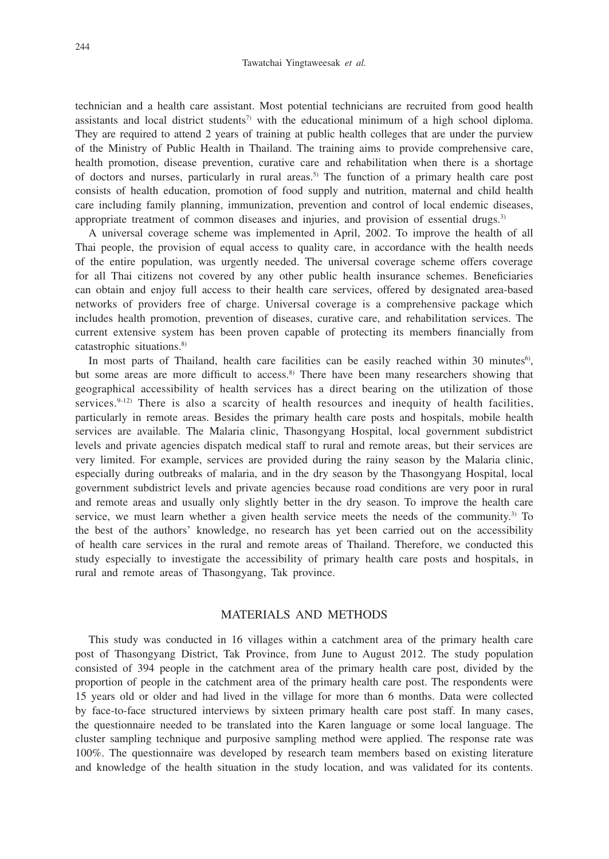technician and a health care assistant. Most potential technicians are recruited from good health assistants and local district students<sup> $\eta$ </sup> with the educational minimum of a high school diploma. They are required to attend 2 years of training at public health colleges that are under the purview of the Ministry of Public Health in Thailand. The training aims to provide comprehensive care, health promotion, disease prevention, curative care and rehabilitation when there is a shortage of doctors and nurses, particularly in rural areas.5) The function of a primary health care post consists of health education, promotion of food supply and nutrition, maternal and child health care including family planning, immunization, prevention and control of local endemic diseases, appropriate treatment of common diseases and injuries, and provision of essential drugs.<sup>3)</sup>

A universal coverage scheme was implemented in April, 2002. To improve the health of all Thai people, the provision of equal access to quality care, in accordance with the health needs of the entire population, was urgently needed. The universal coverage scheme offers coverage for all Thai citizens not covered by any other public health insurance schemes. Beneficiaries can obtain and enjoy full access to their health care services, offered by designated area-based networks of providers free of charge. Universal coverage is a comprehensive package which includes health promotion, prevention of diseases, curative care, and rehabilitation services. The current extensive system has been proven capable of protecting its members financially from catastrophic situations.8)

In most parts of Thailand, health care facilities can be easily reached within 30 minutes $6$ , but some areas are more difficult to access.<sup>8)</sup> There have been many researchers showing that geographical accessibility of health services has a direct bearing on the utilization of those services. $9-12$ ) There is also a scarcity of health resources and inequity of health facilities, particularly in remote areas. Besides the primary health care posts and hospitals, mobile health services are available. The Malaria clinic, Thasongyang Hospital, local government subdistrict levels and private agencies dispatch medical staff to rural and remote areas, but their services are very limited. For example, services are provided during the rainy season by the Malaria clinic, especially during outbreaks of malaria, and in the dry season by the Thasongyang Hospital, local government subdistrict levels and private agencies because road conditions are very poor in rural and remote areas and usually only slightly better in the dry season. To improve the health care service, we must learn whether a given health service meets the needs of the community.<sup>3)</sup> To the best of the authors' knowledge, no research has yet been carried out on the accessibility of health care services in the rural and remote areas of Thailand. Therefore, we conducted this study especially to investigate the accessibility of primary health care posts and hospitals, in rural and remote areas of Thasongyang, Tak province.

### MATERIALS AND METHODS

This study was conducted in 16 villages within a catchment area of the primary health care post of Thasongyang District, Tak Province, from June to August 2012. The study population consisted of 394 people in the catchment area of the primary health care post, divided by the proportion of people in the catchment area of the primary health care post. The respondents were 15 years old or older and had lived in the village for more than 6 months. Data were collected by face-to-face structured interviews by sixteen primary health care post staff. In many cases, the questionnaire needed to be translated into the Karen language or some local language. The cluster sampling technique and purposive sampling method were applied. The response rate was 100%. The questionnaire was developed by research team members based on existing literature and knowledge of the health situation in the study location, and was validated for its contents.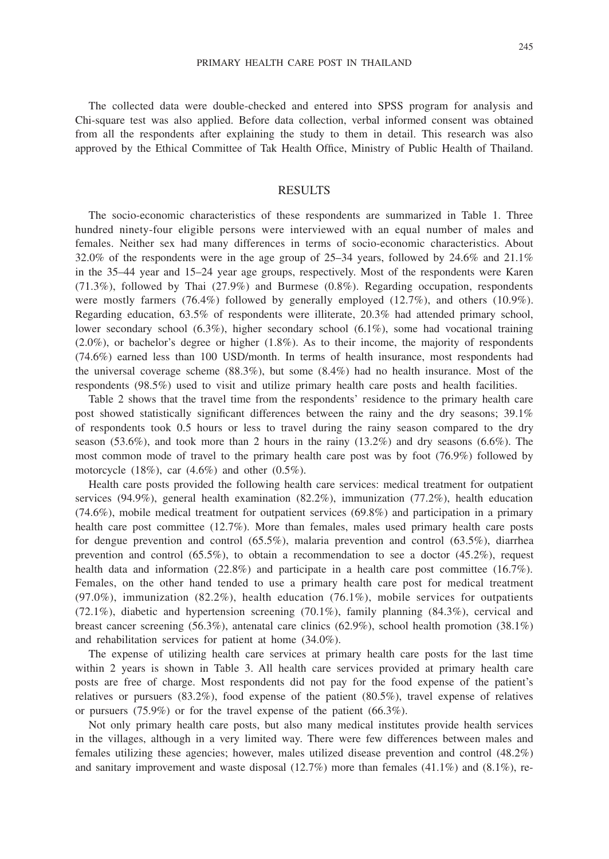The collected data were double-checked and entered into SPSS program for analysis and Chi-square test was also applied. Before data collection, verbal informed consent was obtained from all the respondents after explaining the study to them in detail. This research was also approved by the Ethical Committee of Tak Health Office, Ministry of Public Health of Thailand.

## **RESULTS**

The socio-economic characteristics of these respondents are summarized in Table 1. Three hundred ninety-four eligible persons were interviewed with an equal number of males and females. Neither sex had many differences in terms of socio-economic characteristics. About 32.0% of the respondents were in the age group of 25–34 years, followed by 24.6% and 21.1% in the 35–44 year and 15–24 year age groups, respectively. Most of the respondents were Karen (71.3%), followed by Thai (27.9%) and Burmese (0.8%). Regarding occupation, respondents were mostly farmers (76.4%) followed by generally employed (12.7%), and others (10.9%). Regarding education, 63.5% of respondents were illiterate, 20.3% had attended primary school, lower secondary school (6.3%), higher secondary school (6.1%), some had vocational training (2.0%), or bachelor's degree or higher (1.8%). As to their income, the majority of respondents (74.6%) earned less than 100 USD/month. In terms of health insurance, most respondents had the universal coverage scheme  $(88.3\%)$ , but some  $(8.4\%)$  had no health insurance. Most of the respondents (98.5%) used to visit and utilize primary health care posts and health facilities.

Table 2 shows that the travel time from the respondents' residence to the primary health care post showed statistically significant differences between the rainy and the dry seasons; 39.1% of respondents took 0.5 hours or less to travel during the rainy season compared to the dry season  $(53.6\%)$ , and took more than 2 hours in the rainy  $(13.2\%)$  and dry seasons  $(6.6\%)$ . The most common mode of travel to the primary health care post was by foot (76.9%) followed by motorcycle  $(18\%)$ , car  $(4.6\%)$  and other  $(0.5\%)$ .

Health care posts provided the following health care services: medical treatment for outpatient services (94.9%), general health examination (82.2%), immunization (77.2%), health education (74.6%), mobile medical treatment for outpatient services (69.8%) and participation in a primary health care post committee (12.7%). More than females, males used primary health care posts for dengue prevention and control  $(65.5\%)$ , malaria prevention and control  $(63.5\%)$ , diarrhea prevention and control  $(65.5\%)$ , to obtain a recommendation to see a doctor  $(45.2\%)$ , request health data and information (22.8%) and participate in a health care post committee (16.7%). Females, on the other hand tended to use a primary health care post for medical treatment (97.0%), immunization (82.2%), health education (76.1%), mobile services for outpatients (72.1%), diabetic and hypertension screening (70.1%), family planning (84.3%), cervical and breast cancer screening (56.3%), antenatal care clinics (62.9%), school health promotion (38.1%) and rehabilitation services for patient at home (34.0%).

The expense of utilizing health care services at primary health care posts for the last time within 2 years is shown in Table 3. All health care services provided at primary health care posts are free of charge. Most respondents did not pay for the food expense of the patient's relatives or pursuers (83.2%), food expense of the patient (80.5%), travel expense of relatives or pursuers (75.9%) or for the travel expense of the patient (66.3%).

Not only primary health care posts, but also many medical institutes provide health services in the villages, although in a very limited way. There were few differences between males and females utilizing these agencies; however, males utilized disease prevention and control (48.2%) and sanitary improvement and waste disposal  $(12.7%)$  more than females  $(41.1%)$  and  $(8.1%)$ , re-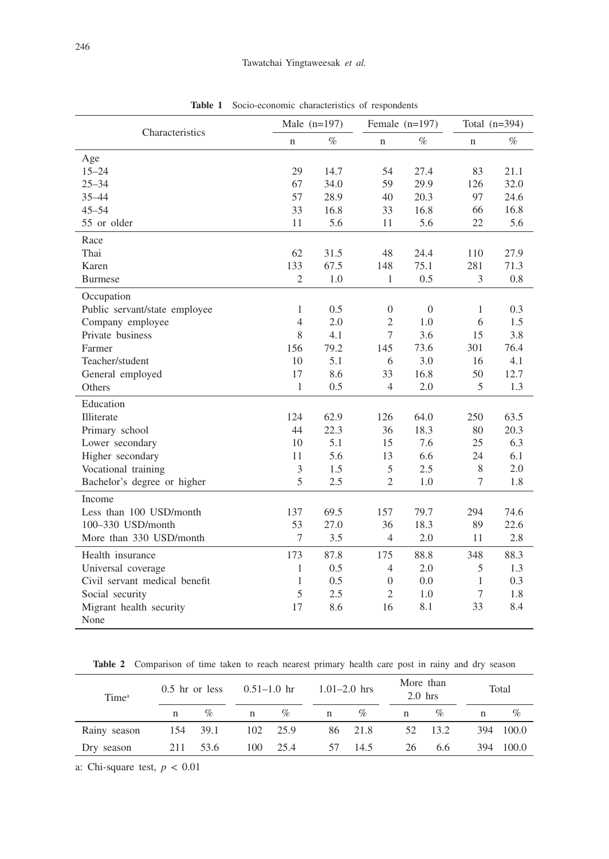| Characteristics               |                | Male $(n=197)$ | Female $(n=197)$ |                | Total $(n=394)$ |      |  |
|-------------------------------|----------------|----------------|------------------|----------------|-----------------|------|--|
|                               | $\mathbf n$    | $\%$           | $\mathbf n$      | %              | n               | %    |  |
| Age                           |                |                |                  |                |                 |      |  |
| $15 - 24$                     | 29             | 14.7           | 54               | 27.4           | 83              | 21.1 |  |
| $25 - 34$                     | 67             | 34.0           | 59               | 29.9           | 126             | 32.0 |  |
| $35 - 44$                     | 57             | 28.9           | 40               | 20.3           | 97              | 24.6 |  |
| $45 - 54$                     | 33             | 16.8           | 33               | 16.8           | 66              | 16.8 |  |
| 55 or older                   | 11             | 5.6            | 11               | 5.6            | 22              | 5.6  |  |
| Race                          |                |                |                  |                |                 |      |  |
| Thai                          | 62             | 31.5           | 48               | 24.4           | 110             | 27.9 |  |
| Karen                         | 133            | 67.5           | 148              | 75.1           | 281             | 71.3 |  |
| <b>Burmese</b>                | $\overline{2}$ | 1.0            | $\mathbf{1}$     | 0.5            | 3               | 0.8  |  |
| Occupation                    |                |                |                  |                |                 |      |  |
| Public servant/state employee | 1              | 0.5            | $\theta$         | $\overline{0}$ | 1               | 0.3  |  |
| Company employee              | $\overline{4}$ | 2.0            | $\overline{2}$   | 1.0            | 6               | 1.5  |  |
| Private business              | $\,$ 8 $\,$    | 4.1            | $\overline{7}$   | 3.6            | 15              | 3.8  |  |
| Farmer                        | 156            | 79.2           | 145              | 73.6           | 301             | 76.4 |  |
| Teacher/student               | 10             | 5.1            | 6                | 3.0            | 16              | 4.1  |  |
| General employed              | 17             | 8.6            | 33               | 16.8           | 50              | 12.7 |  |
| Others                        | $\mathbf{1}$   | 0.5            | $\overline{4}$   | 2.0            | 5               | 1.3  |  |
| Education                     |                |                |                  |                |                 |      |  |
| Illiterate                    | 124            | 62.9           | 126              | 64.0           | 250             | 63.5 |  |
| Primary school                | 44             | 22.3           | 36               | 18.3           | 80              | 20.3 |  |
| Lower secondary               | 10             | 5.1            | 15               | 7.6            | 25              | 6.3  |  |
| Higher secondary              | 11             | 5.6            | 13               | 6.6            | 24              | 6.1  |  |
| Vocational training           | 3              | 1.5            | 5                | 2.5            | 8               | 2.0  |  |
| Bachelor's degree or higher   | 5              | 2.5            | $\overline{c}$   | 1.0            | 7               | 1.8  |  |
| Income                        |                |                |                  |                |                 |      |  |
| Less than 100 USD/month       | 137            | 69.5           | 157              | 79.7           | 294             | 74.6 |  |
| 100-330 USD/month             | 53             | 27.0           | 36               | 18.3           | 89              | 22.6 |  |
| More than 330 USD/month       | $\tau$         | 3.5            | $\overline{4}$   | 2.0            | 11              | 2.8  |  |
| Health insurance              | 173            | 87.8           | 175              | 88.8           | 348             | 88.3 |  |
| Universal coverage            | $\mathbf{1}$   | 0.5            | 4                | 2.0            | 5               | 1.3  |  |
| Civil servant medical benefit | 1              | 0.5            | $\overline{0}$   | 0.0            | 1               | 0.3  |  |
| Social security               | 5              | 2.5            | $\overline{2}$   | 1.0            | 7               | 1.8  |  |
| Migrant health security       | 17             | 8.6            | 16               | 8.1            | 33              | 8.4  |  |
| None                          |                |                |                  |                |                 |      |  |

**Table 1** Socio-economic characteristics of respondents

Table 2 Comparison of time taken to reach nearest primary health care post in rainy and dry season

| Time <sup>a</sup> | $0.5$ hr or less |          | $0.51 - 1.0$ hr |          | $1.01 - 2.0$ hrs |         | More than<br>$2.0$ hrs |         |     | Total     |  |
|-------------------|------------------|----------|-----------------|----------|------------------|---------|------------------------|---------|-----|-----------|--|
|                   | n                | $\%$     | $\mathbf n$     | $\%$     | $n \sim$         | $\%$    | n                      | $\%$    |     | $\%$      |  |
| Rainy season      |                  | 154 39.1 |                 | 102 25.9 |                  | 86 21.8 |                        | 52 13.2 |     | 394 100.0 |  |
| Dry season        |                  | 211 53.6 | 100             | 25.4     | 57               | 14.5    | 26                     | 6.6     | 394 | 100.0     |  |

a: Chi-square test, *p* < 0.01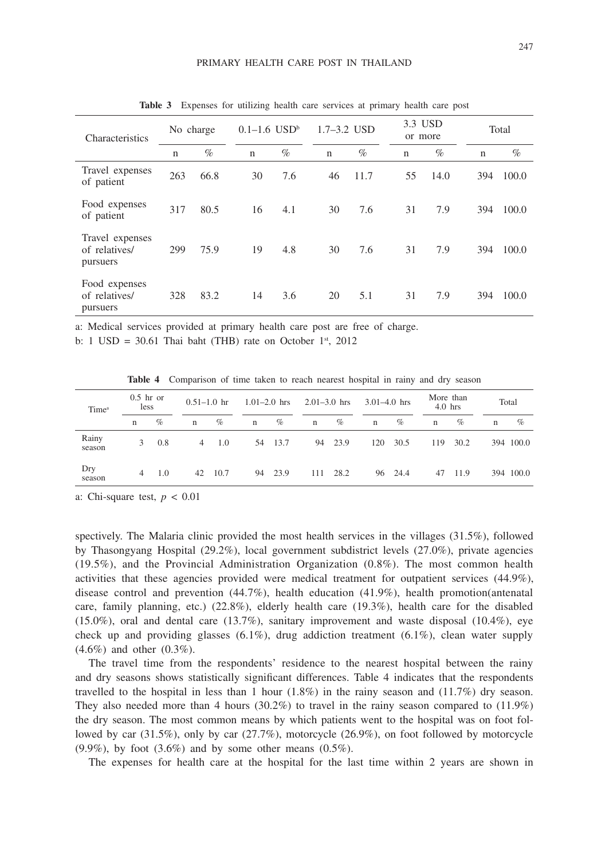| Characteristics                              | No charge |      | $0.1 - 1.6$ USD <sup>b</sup> |      | $1.7 - 3.2$ USD |      | 3.3 USD<br>or more |      | Total       |       |  |  |
|----------------------------------------------|-----------|------|------------------------------|------|-----------------|------|--------------------|------|-------------|-------|--|--|
|                                              | n         | $\%$ | $\mathbf n$                  | $\%$ | $\mathbf n$     | $\%$ | $\mathbf n$        | $\%$ | $\mathbf n$ | $\%$  |  |  |
| Travel expenses<br>of patient                | 263       | 66.8 | 30                           | 7.6  | 46              | 11.7 | 55                 | 14.0 | 394         | 100.0 |  |  |
| Food expenses<br>of patient                  | 317       | 80.5 | 16                           | 4.1  | 30              | 7.6  | 31                 | 7.9  | 394         | 100.0 |  |  |
| Travel expenses<br>of relatives/<br>pursuers | 299       | 75.9 | 19                           | 4.8  | 30              | 7.6  | 31                 | 7.9  | 394         | 100.0 |  |  |
| Food expenses<br>of relatives/<br>pursuers   | 328       | 83.2 | 14                           | 3.6  | 20              | 5.1  | 31                 | 7.9  | 394         | 100.0 |  |  |

**Table 3** Expenses for utilizing health care services at primary health care post

a: Medical services provided at primary health care post are free of charge.

b: 1 USD = 30.61 Thai baht (THB) rate on October  $1<sup>st</sup>$ , 2012

**Table 4** Comparison of time taken to reach nearest hospital in rainy and dry season

| $0.5$ hr or<br>less<br>Time <sup>a</sup> |   |      | $0.51 - 1.0$ hr |         | $1.01 - 2.0$ hrs |         | $2.01 - 3.0$ hrs |         | $3.01 - 4.0$ hrs |         |             | More than<br>$4.0$ hrs |   | Total     |  |
|------------------------------------------|---|------|-----------------|---------|------------------|---------|------------------|---------|------------------|---------|-------------|------------------------|---|-----------|--|
|                                          | n | $\%$ | $\mathbf n$     | $\%$    | $\mathbf n$      | $\%$    | $\mathbf n$      | $\%$    | $\mathbf n$      | $\%$    | $\mathbf n$ | $\%$                   | n | $\%$      |  |
| Rainy<br>season                          | 3 | 0.8  | 4               | 1.0     |                  | 54 13.7 |                  | 94 23.9 | 120              | 30.5    | 119         | 30.2                   |   | 394 100.0 |  |
| Dry<br>season                            | 4 | 1.0  |                 | 42 10.7 |                  | 94 23.9 | 111              | 28.2    |                  | 96 24.4 | 47          | 11.9                   |   | 394 100.0 |  |

a: Chi-square test,  $p < 0.01$ 

spectively. The Malaria clinic provided the most health services in the villages (31.5%), followed by Thasongyang Hospital (29.2%), local government subdistrict levels (27.0%), private agencies (19.5%), and the Provincial Administration Organization (0.8%). The most common health activities that these agencies provided were medical treatment for outpatient services (44.9%), disease control and prevention (44.7%), health education (41.9%), health promotion(antenatal care, family planning, etc.) (22.8%), elderly health care (19.3%), health care for the disabled  $(15.0\%)$ , oral and dental care  $(13.7\%)$ , sanitary improvement and waste disposal  $(10.4\%)$ , eye check up and providing glasses  $(6.1\%)$ , drug addiction treatment  $(6.1\%)$ , clean water supply (4.6%) and other (0.3%).

The travel time from the respondents' residence to the nearest hospital between the rainy and dry seasons shows statistically significant differences. Table 4 indicates that the respondents travelled to the hospital in less than 1 hour  $(1.8\%)$  in the rainy season and  $(11.7\%)$  dry season. They also needed more than 4 hours  $(30.2\%)$  to travel in the rainy season compared to  $(11.9\%)$ the dry season. The most common means by which patients went to the hospital was on foot followed by car (31.5%), only by car (27.7%), motorcycle (26.9%), on foot followed by motorcycle  $(9.9\%)$ , by foot  $(3.6\%)$  and by some other means  $(0.5\%)$ .

The expenses for health care at the hospital for the last time within 2 years are shown in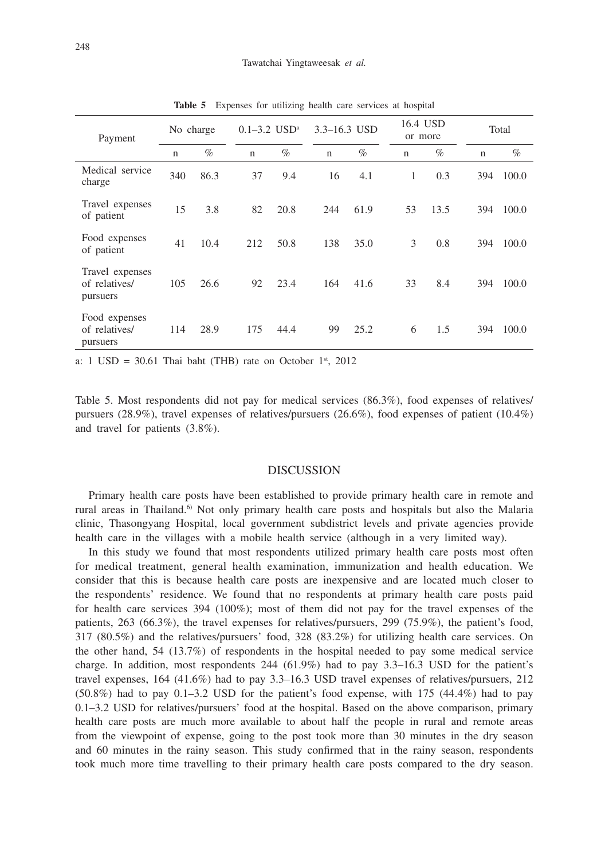| Payment                                      |     | No charge |             | $0.1 - 3.2$ USD <sup>a</sup> |             | 3.3-16.3 USD | 16.4 USD<br>or more |      | Total       |       |
|----------------------------------------------|-----|-----------|-------------|------------------------------|-------------|--------------|---------------------|------|-------------|-------|
|                                              | n   | $\%$      | $\mathbf n$ | $\%$                         | $\mathbf n$ | $\%$         | n                   | $\%$ | $\mathbf n$ | $\%$  |
| Medical service<br>charge                    | 340 | 86.3      | 37          | 9.4                          | 16          | 4.1          | 1                   | 0.3  | 394         | 100.0 |
| Travel expenses<br>of patient                | 15  | 3.8       | 82          | 20.8                         | 244         | 61.9         | 53                  | 13.5 | 394         | 100.0 |
| Food expenses<br>of patient                  | 41  | 10.4      | 212         | 50.8                         | 138         | 35.0         | 3                   | 0.8  | 394         | 100.0 |
| Travel expenses<br>of relatives/<br>pursuers | 105 | 26.6      | 92          | 23.4                         | 164         | 41.6         | 33                  | 8.4  | 394         | 100.0 |
| Food expenses<br>of relatives/<br>pursuers   | 114 | 28.9      | 175         | 44.4                         | 99          | 25.2         | 6                   | 1.5  | 394         | 100.0 |

**Table 5** Expenses for utilizing health care services at hospital

a:  $1 \text{ USD} = 30.61 \text{ Thai bath}$  (THB) rate on October  $1^{st}$ , 2012

Table 5. Most respondents did not pay for medical services (86.3%), food expenses of relatives/ pursuers (28.9%), travel expenses of relatives/pursuers (26.6%), food expenses of patient (10.4%) and travel for patients (3.8%).

#### DISCUSSION

Primary health care posts have been established to provide primary health care in remote and rural areas in Thailand.<sup>6)</sup> Not only primary health care posts and hospitals but also the Malaria clinic, Thasongyang Hospital, local government subdistrict levels and private agencies provide health care in the villages with a mobile health service (although in a very limited way).

In this study we found that most respondents utilized primary health care posts most often for medical treatment, general health examination, immunization and health education. We consider that this is because health care posts are inexpensive and are located much closer to the respondents' residence. We found that no respondents at primary health care posts paid for health care services 394 (100%); most of them did not pay for the travel expenses of the patients, 263 (66.3%), the travel expenses for relatives/pursuers, 299 (75.9%), the patient's food, 317 (80.5%) and the relatives/pursuers' food, 328 (83.2%) for utilizing health care services. On the other hand, 54 (13.7%) of respondents in the hospital needed to pay some medical service charge. In addition, most respondents 244 (61.9%) had to pay 3.3–16.3 USD for the patient's travel expenses, 164 (41.6%) had to pay 3.3–16.3 USD travel expenses of relatives/pursuers, 212 (50.8%) had to pay 0.1–3.2 USD for the patient's food expense, with 175 (44.4%) had to pay 0.1–3.2 USD for relatives/pursuers' food at the hospital. Based on the above comparison, primary health care posts are much more available to about half the people in rural and remote areas from the viewpoint of expense, going to the post took more than 30 minutes in the dry season and 60 minutes in the rainy season. This study confirmed that in the rainy season, respondents took much more time travelling to their primary health care posts compared to the dry season.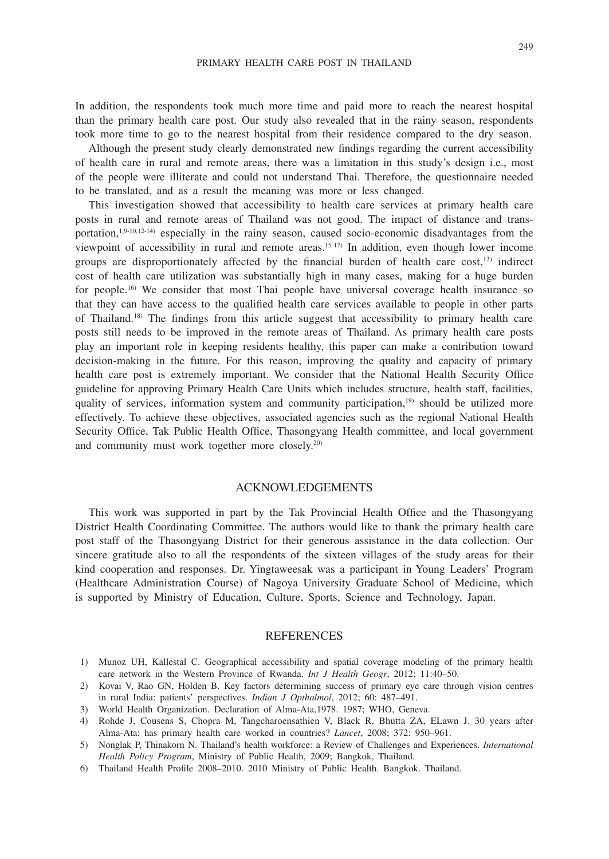In addition, the respondents took much more time and paid more to reach the nearest hospital than the primary health care post. Our study also revealed that in the rainy season, respondents took more time to go to the nearest hospital from their residence compared to the dry season.

Although the present study clearly demonstrated new findings regarding the current accessibility of health care in rural and remote areas, there was a limitation in this study's design i.e., most of the people were illiterate and could not understand Thai. Therefore, the questionnaire needed to be translated, and as a result the meaning was more or less changed.

This investigation showed that accessibility to health care services at primary health care posts in rural and remote areas of Thailand was not good. The impact of distance and transportation,1,9-10,12-14) especially in the rainy season, caused socio-economic disadvantages from the viewpoint of accessibility in rural and remote areas.15-17) In addition, even though lower income groups are disproportionately affected by the financial burden of health care  $cost<sub>1</sub>$ <sup>13</sup>) indirect cost of health care utilization was substantially high in many cases, making for a huge burden for people.<sup>16</sup> We consider that most Thai people have universal coverage health insurance so that they can have access to the qualified health care services available to people in other parts of Thailand.18) The findings from this article suggest that accessibility to primary health care posts still needs to be improved in the remote areas of Thailand. As primary health care posts play an important role in keeping residents healthy, this paper can make a contribution toward decision-making in the future. For this reason, improving the quality and capacity of primary health care post is extremely important. We consider that the National Health Security Office guideline for approving Primary Health Care Units which includes structure, health staff, facilities, quality of services, information system and community participation,19) should be utilized more effectively. To achieve these objectives, associated agencies such as the regional National Health Security Office, Tak Public Health Office, Thasongyang Health committee, and local government and community must work together more closely.20)

#### ACKNOWLEDGEMENTS

This work was supported in part by the Tak Provincial Health Office and the Thasongyang District Health Coordinating Committee. The authors would like to thank the primary health care post staff of the Thasongyang District for their generous assistance in the data collection. Our sincere gratitude also to all the respondents of the sixteen villages of the study areas for their kind cooperation and responses. Dr. Yingtaweesak was a participant in Young Leaders' Program (Healthcare Administration Course) of Nagoya University Graduate School of Medicine, which is supported by Ministry of Education, Culture, Sports, Science and Technology, Japan.

#### REFERENCES

- 1) Munoz UH, Kallestal C. Geographical accessibility and spatial coverage modeling of the primary health care network in the Western Province of Rwanda. *Int J Health Geogr*, 2012; 11:40–50.
- 2) Kovai V, Rao GN, Holden B. Key factors determining success of primary eye care through vision centres in rural India: patients' perspectives. *Indian J Opthalmol*, 2012; 60: 487–491.
- 3) World Health Organization. Declaration of Alma-Ata,1978. 1987; WHO, Geneva.
- 4) Rohde J, Cousens S, Chopra M, Tangcharoensathien V, Black R, Bhutta ZA, ELawn J. 30 years after Alma-Ata: has primary health care worked in countries? *Lancet*, 2008; 372: 950–961.
- 5) Nonglak P, Thinakorn N. Thailand's health workforce: a Review of Challenges and Experiences. *International Health Policy Program*, Ministry of Public Health, 2009; Bangkok, Thailand.
- 6) Thailand Health Profile 2008–2010. 2010 Ministry of Public Health. Bangkok. Thailand.